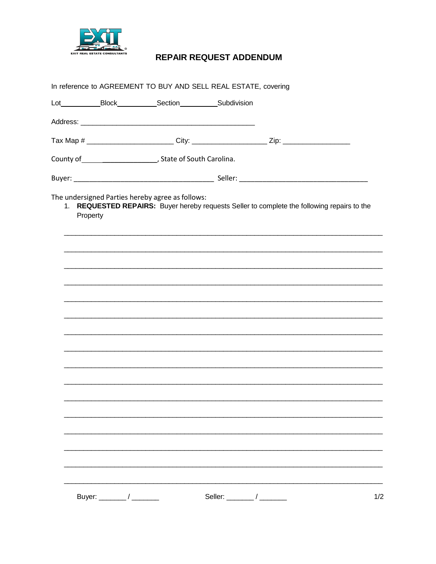

## **REPAIR REQUEST ADDENDUM**

|          | Lot_____________Block_____________Section_____________Subdivision     |                                                                                             |
|----------|-----------------------------------------------------------------------|---------------------------------------------------------------------------------------------|
|          |                                                                       |                                                                                             |
|          |                                                                       | Tax Map # _________________________City: ______________________Zip: ___________________     |
|          | County of _________________________________, State of South Carolina. |                                                                                             |
|          |                                                                       |                                                                                             |
| Property | The undersigned Parties hereby agree as follows:                      | 1. REQUESTED REPAIRS: Buyer hereby requests Seller to complete the following repairs to the |
|          |                                                                       |                                                                                             |
|          |                                                                       |                                                                                             |
|          |                                                                       |                                                                                             |
|          |                                                                       |                                                                                             |
|          |                                                                       |                                                                                             |
|          |                                                                       |                                                                                             |
|          |                                                                       |                                                                                             |
|          |                                                                       |                                                                                             |
|          |                                                                       |                                                                                             |
|          |                                                                       |                                                                                             |
|          |                                                                       |                                                                                             |
|          |                                                                       |                                                                                             |